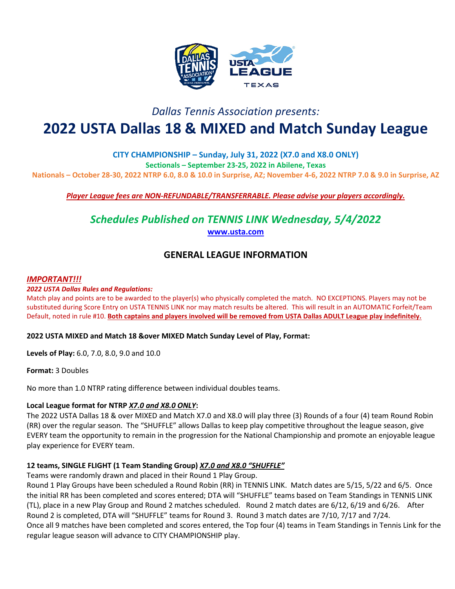

# *Dallas Tennis Association presents:*

# **2022 USTA Dallas 18 & MIXED and Match Sunday League**

**CITY CHAMPIONSHIP – Sunday, July 31, 2022 (X7.0 and X8.0 ONLY) Sectionals – September 23-25, 2022 in Abilene, Texas Nationals – October 28-30, 2022 NTRP 6.0, 8.0 & 10.0 in Surprise, AZ; November 4-6, 2022 NTRP 7.0 & 9.0 in Surprise, AZ**

*Player League fees are NON-REFUNDABLE/TRANSFERRABLE. Please advise your players accordingly.* 

*Schedules Published on TENNIS LINK Wednesday, 5/4/2022* **[www.usta.com](http://www.usta.com/)**

## **GENERAL LEAGUE INFORMATION**

# *IMPORTANT!!! 2022 USTA Dallas Rules and Regulations:*

Match play and points are to be awarded to the player(s) who physically completed the match. NO EXCEPTIONS. Players may not be substituted during Score Entry on USTA TENNIS LINK nor may match results be altered. This will result in an AUTOMATIC Forfeit/Team Default, noted in rule #10. **Both captains and players involved will be removed from USTA Dallas ADULT League play indefinitely.**

#### **2022 USTA MIXED and Match 18 &over MIXED Match Sunday Level of Play, Format:**

**Levels of Play:** 6.0, 7.0, 8.0, 9.0 and 10.0

**Format:** 3 Doubles

No more than 1.0 NTRP rating difference between individual doubles teams.

#### **Local League format for NTRP** *X7.0 and X8.0 ONLY***:**

The 2022 USTA Dallas 18 & over MIXED and Match X7.0 and X8.0 will play three (3) Rounds of a four (4) team Round Robin (RR) over the regular season. The "SHUFFLE" allows Dallas to keep play competitive throughout the league season, give EVERY team the opportunity to remain in the progression for the National Championship and promote an enjoyable league play experience for EVERY team.

#### **12 teams, SINGLE FLIGHT (1 Team Standing Group)** *X7.0 and X8.0 "SHUFFLE"*

Teams were randomly drawn and placed in their Round 1 Play Group.

Round 1 Play Groups have been scheduled a Round Robin (RR) in TENNIS LINK. Match dates are 5/15, 5/22 and 6/5. Once the initial RR has been completed and scores entered; DTA will "SHUFFLE" teams based on Team Standings in TENNIS LINK (TL), place in a new Play Group and Round 2 matches scheduled. Round 2 match dates are 6/12, 6/19 and 6/26. After Round 2 is completed, DTA will "SHUFFLE" teams for Round 3. Round 3 match dates are 7/10, 7/17 and 7/24. Once all 9 matches have been completed and scores entered, the Top four (4) teams in Team Standings in Tennis Link for the regular league season will advance to CITY CHAMPIONSHIP play.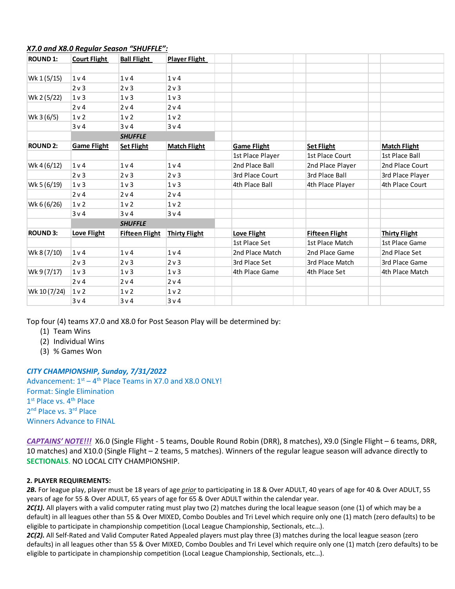| <b>ROUND 1:</b> | <b>Court Flight</b> | <b>Ball Flight</b>    | <b>Player Flight</b> |                    |                       |                      |
|-----------------|---------------------|-----------------------|----------------------|--------------------|-----------------------|----------------------|
|                 |                     |                       |                      |                    |                       |                      |
| Wk 1 (5/15)     | 1 <sub>v</sub> 4    | 1 <sub>v</sub>        | 1 <sub>v</sub>       |                    |                       |                      |
|                 | $2v$ 3              | $2v$ 3                | 2 v 3                |                    |                       |                      |
| Wk 2 (5/22)     | $1v$ 3              | $1v$ 3                | 1 <sub>v</sub>       |                    |                       |                      |
|                 | 2 v 4               | 2 v 4                 | 2 v 4                |                    |                       |                      |
| Wk 3 (6/5)      | 1 <sub>v</sub>      | 1 <sub>v</sub>        | 1 <sub>v</sub>       |                    |                       |                      |
|                 | 3v4                 | 3v4                   | 3v4                  |                    |                       |                      |
|                 |                     | <b>SHUFFLE</b>        |                      |                    |                       |                      |
| <b>ROUND 2:</b> | <b>Game Flight</b>  | <b>Set Flight</b>     | <b>Match Flight</b>  | <b>Game Flight</b> | <b>Set Flight</b>     | <b>Match Flight</b>  |
|                 |                     |                       |                      | 1st Place Player   | 1st Place Court       | 1st Place Ball       |
| Wk 4 (6/12)     | 1 <sub>v</sub>      | 1 <sub>v</sub>        | 1 <sub>v</sub>       | 2nd Place Ball     | 2nd Place Player      | 2nd Place Court      |
|                 | $2v$ 3              | $2v$ 3                | 2 v 3                | 3rd Place Court    | 3rd Place Ball        | 3rd Place Player     |
| Wk 5 (6/19)     | 1 <sub>v</sub>      | $1v$ 3                | 1 <sub>v</sub>       | 4th Place Ball     | 4th Place Player      | 4th Place Court      |
|                 | 2 v 4               | 2 v 4                 | 2 v 4                |                    |                       |                      |
| Wk 6 (6/26)     | 1 <sub>v</sub>      | 1 <sub>v</sub>        | 1 <sub>v</sub>       |                    |                       |                      |
|                 | 3v4                 | 3v4                   | 3v4                  |                    |                       |                      |
|                 |                     | <b>SHUFFLE</b>        |                      |                    |                       |                      |
| <b>ROUND 3:</b> | Love Flight         | <b>Fifteen Flight</b> | <b>Thirty Flight</b> | Love Flight        | <b>Fifteen Flight</b> | <b>Thirty Flight</b> |
|                 |                     |                       |                      | 1st Place Set      | 1st Place Match       | 1st Place Game       |
| Wk 8 (7/10)     | 1 <sub>v</sub>      | 1 <sub>v</sub>        | 1 <sub>v</sub>       | 2nd Place Match    | 2nd Place Game        | 2nd Place Set        |
|                 | $2v$ 3              | $2v$ 3                | 2v3                  | 3rd Place Set      | 3rd Place Match       | 3rd Place Game       |
| Wk 9 (7/17)     | 1 <sub>v</sub>      | $1v$ 3                | 1 <sub>v</sub>       | 4th Place Game     | 4th Place Set         | 4th Place Match      |
|                 | 2v4                 | 2 v 4                 | 2 v 4                |                    |                       |                      |
| Wk 10 (7/24)    | 1 <sub>v</sub>      | 1 <sub>v</sub>        | 1 <sub>v</sub>       |                    |                       |                      |
|                 | 3v4                 | 3v4                   | 3v4                  |                    |                       |                      |

#### *X7.0 and X8.0 Regular Season "SHUFFLE":*

Top four (4) teams X7.0 and X8.0 for Post Season Play will be determined by:

- (1) Team Wins
- (2) Individual Wins
- (3) % Games Won

#### *CITY CHAMPIONSHIP, Sunday, 7/31/2022*

Advancement:  $1<sup>st</sup> - 4<sup>th</sup>$  Place Teams in X7.0 and X8.0 ONLY! Format: Single Elimination 1st Place vs. 4<sup>th</sup> Place 2<sup>nd</sup> Place vs. 3<sup>rd</sup> Place Winners Advance to FINAL

*CAPTAINS' NOTE!!!* X6.0 (Single Flight - 5 teams, Double Round Robin (DRR), 8 matches), X9.0 (Single Flight – 6 teams, DRR, 10 matches) and X10.0 (Single Flight – 2 teams, 5 matches). Winners of the regular league season will advance directly to **SECTIONALS**. NO LOCAL CITY CHAMPIONSHIP.

#### **2. PLAYER REQUIREMENTS:**

*2B.* For league play, player must be 18 years of age *prior* to participating in 18 & Over ADULT, 40 years of age for 40 & Over ADULT, 55 years of age for 55 & Over ADULT, 65 years of age for 65 & Over ADULT within the calendar year.

*2C(1).* All players with a valid computer rating must play two (2) matches during the local league season (one (1) of which may be a default) in all leagues other than 55 & Over MIXED, Combo Doubles and Tri Level which require only one (1) match (zero defaults) to be eligible to participate in championship competition (Local League Championship, Sectionals, etc…).

2C(2). All Self-Rated and Valid Computer Rated Appealed players must play three (3) matches during the local league season (zero defaults) in all leagues other than 55 & Over MIXED, Combo Doubles and Tri Level which require only one (1) match (zero defaults) to be eligible to participate in championship competition (Local League Championship, Sectionals, etc…).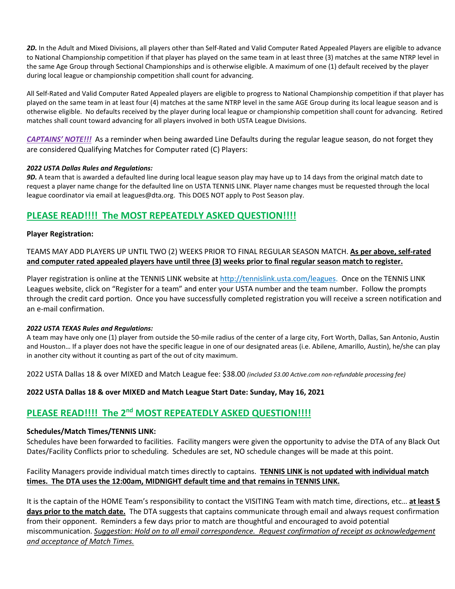*2D.* In the Adult and Mixed Divisions, all players other than Self-Rated and Valid Computer Rated Appealed Players are eligible to advance to National Championship competition if that player has played on the same team in at least three (3) matches at the same NTRP level in the same Age Group through Sectional Championships and is otherwise eligible. A maximum of one (1) default received by the player during local league or championship competition shall count for advancing.

All Self-Rated and Valid Computer Rated Appealed players are eligible to progress to National Championship competition if that player has played on the same team in at least four (4) matches at the same NTRP level in the same AGE Group during its local league season and is otherwise eligible. No defaults received by the player during local league or championship competition shall count for advancing. Retired matches shall count toward advancing for all players involved in both USTA League Divisions.

*CAPTAINS' NOTE!!!* As a reminder when being awarded Line Defaults during the regular league season, do not forget they are considered Qualifying Matches for Computer rated (C) Players:

#### *2022 USTA Dallas Rules and Regulations:*

*9D.* A team that is awarded a defaulted line during local league season play may have up to 14 days from the original match date to request a player name change for the defaulted line on USTA TENNIS LINK. Player name changes must be requested through the local league coordinator via email at leagues@dta.org. This DOES NOT apply to Post Season play.

### **PLEASE READ!!!! The MOST REPEATEDLY ASKED QUESTION!!!!**

#### **Player Registration:**

TEAMS MAY ADD PLAYERS UP UNTIL TWO (2) WEEKS PRIOR TO FINAL REGULAR SEASON MATCH. **As per above, self-rated and computer rated appealed players have until three (3) weeks prior to final regular season match to register.**

Player registration is online at the TENNIS LINK website at [http://tennislink.usta.com/leagues.](http://tennislink.usta.com/leagues) Once on the TENNIS LINK Leagues website, click on "Register for a team" and enter your USTA number and the team number. Follow the prompts through the credit card portion. Once you have successfully completed registration you will receive a screen notification and an e-mail confirmation.

#### *2022 USTA TEXAS Rules and Regulations:*

A team may have only one (1) player from outside the 50-mile radius of the center of a large city, Fort Worth, Dallas, San Antonio, Austin and Houston… If a player does not have the specific league in one of our designated areas (i.e. Abilene, Amarillo, Austin), he/she can play in another city without it counting as part of the out of city maximum.

2022 USTA Dallas 18 & over MIXED and Match League fee: \$38.00 *(included \$3.00 Active.com non-refundable processing fee)*

**2022 USTA Dallas 18 & over MIXED and Match League Start Date: Sunday, May 16, 2021**

# **PLEASE READ!!!! The 2nd MOST REPEATEDLY ASKED QUESTION!!!!**

#### **Schedules/Match Times/TENNIS LINK:**

Schedules have been forwarded to facilities. Facility mangers were given the opportunity to advise the DTA of any Black Out Dates/Facility Conflicts prior to scheduling. Schedules are set, NO schedule changes will be made at this point.

#### Facility Managers provide individual match times directly to captains. **TENNIS LINK is not updated with individual match times. The DTA uses the 12:00am, MIDNIGHT default time and that remains in TENNIS LINK.**

It is the captain of the HOME Team's responsibility to contact the VISITING Team with match time, directions, etc… **at least 5 days prior to the match date.** The DTA suggests that captains communicate through email and always request confirmation from their opponent. Reminders a few days prior to match are thoughtful and encouraged to avoid potential miscommunication. *Suggestion: Hold on to all email correspondence. Request confirmation of receipt as acknowledgement and acceptance of Match Times.*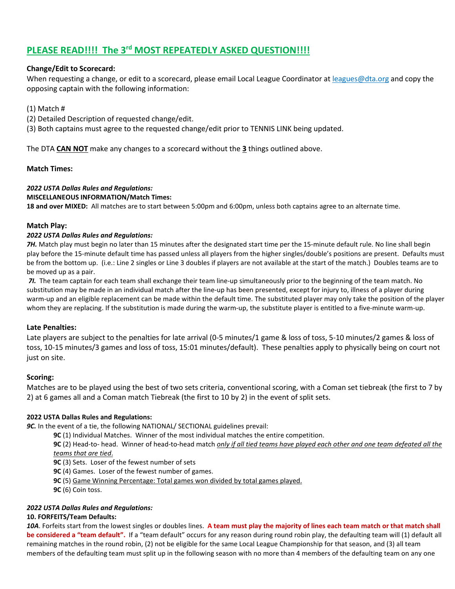# **PLEASE READ!!!! The 3rd MOST REPEATEDLY ASKED QUESTION!!!!**

#### **Change/Edit to Scorecard:**

When requesting a change, or edit to a scorecard, please email Local League Coordinator at leagues@dta.org and copy the opposing captain with the following information:

#### (1) Match #

- (2) Detailed Description of requested change/edit.
- (3) Both captains must agree to the requested change/edit prior to TENNIS LINK being updated.

The DTA **CAN NOT** make any changes to a scorecard without the **3** things outlined above.

#### **Match Times:**

### *2022 USTA Dallas Rules and Regulations:*

#### **MISCELLANEOUS INFORMATION/Match Times:**

**18 and over MIXED:** All matches are to start between 5:00pm and 6:00pm, unless both captains agree to an alternate time.

#### **Match Play:**

#### *2022 USTA Dallas Rules and Regulations:*

7H. Match play must begin no later than 15 minutes after the designated start time per the 15-minute default rule. No line shall begin play before the 15-minute default time has passed unless all players from the higher singles/double's positions are present. Defaults must be from the bottom up. (i.e.: Line 2 singles or Line 3 doubles if players are not available at the start of the match.) Doubles teams are to be moved up as a pair.

*7I.* The team captain for each team shall exchange their team line-up simultaneously prior to the beginning of the team match. No substitution may be made in an individual match after the line-up has been presented, except for injury to, illness of a player during warm-up and an eligible replacement can be made within the default time. The substituted player may only take the position of the player whom they are replacing. If the substitution is made during the warm-up, the substitute player is entitled to a five-minute warm-up.

#### **Late Penalties:**

Late players are subject to the penalties for late arrival (0-5 minutes/1 game & loss of toss, 5-10 minutes/2 games & loss of toss, 10-15 minutes/3 games and loss of toss, 15:01 minutes/default). These penalties apply to physically being on court not just on site.

#### **Scoring:**

Matches are to be played using the best of two sets criteria, conventional scoring, with a Coman set tiebreak (the first to 7 by 2) at 6 games all and a Coman match Tiebreak (the first to 10 by 2) in the event of split sets.

#### **2022 USTA Dallas Rules and Regulations:**

*9C.* In the event of a tie, the following NATIONAL/ SECTIONAL guidelines prevail:

**9C** (1) Individual Matches. Winner of the most individual matches the entire competition.

**9C** (2) Head-to- head. Winner of head-to-head match *only if all tied teams have played each other and one team defeated all the teams that are tied*.

**9C** (3) Sets. Loser of the fewest number of sets

**9C** (4) Games. Loser of the fewest number of games.

**9C** (5) Game Winning Percentage: Total games won divided by total games played.

**9C** (6) Coin toss.

#### *2022 USTA Dallas Rules and Regulations:*

#### **10. FORFEITS/Team Defaults:**

*10A*. Forfeits start from the lowest singles or doubles lines. **A team must play the majority of lines each team match or that match shall**  be considered a "team default". If a "team default" occurs for any reason during round robin play, the defaulting team will (1) default all remaining matches in the round robin, (2) not be eligible for the same Local League Championship for that season, and (3) all team members of the defaulting team must split up in the following season with no more than 4 members of the defaulting team on any one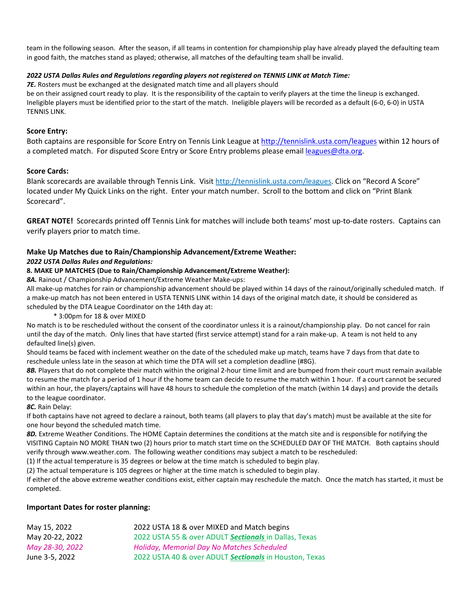team in the following season. After the season, if all teams in contention for championship play have already played the defaulting team in good faith, the matches stand as played; otherwise, all matches of the defaulting team shall be invalid.

#### *2022 USTA Dallas Rules and Regulations regarding players not registered on TENNIS LINK at Match Time:*

*7E.* Rosters must be exchanged at the designated match time and all players should

be on their assigned court ready to play. It is the responsibility of the captain to verify players at the time the lineup is exchanged. Ineligible players must be identified prior to the start of the match. Ineligible players will be recorded as a default (6-0, 6-0) in USTA TENNIS LINK.

#### **Score Entry:**

Both captains are responsible for Score Entry on Tennis Link League a[t http://tennislink.usta.com/leagues](http://tennislink.usta.com/leagues) within 12 hours of a completed match. For disputed Score Entry or Score Entry problems please email [leagues@dta.org.](mailto:leagues@dta.org)

#### **Score Cards:**

Blank scorecards are available through Tennis Link. Visit http://tennislink.usta.com/leagues. Click on "Record A Score" located under My Quick Links on the right. Enter your match number. Scroll to the bottom and click on "Print Blank Scorecard".

**GREAT NOTE!** Scorecards printed off Tennis Link for matches will include both teams' most up-to-date rosters. Captains can verify players prior to match time.

#### **Make Up Matches due to Rain/Championship Advancement/Extreme Weather:**

#### *2022 USTA Dallas Rules and Regulations:*

#### **8. MAKE UP MATCHES (Due to Rain/Championship Advancement/Extreme Weather):**

*8A.* Rainout / Championship Advancement/Extreme Weather Make-ups:

All make-up matches for rain or championship advancement should be played within 14 days of the rainout/originally scheduled match. If a make-up match has not been entered in USTA TENNIS LINK within 14 days of the original match date, it should be considered as scheduled by the DTA League Coordinator on the 14th day at:

\* 3:00pm for 18 & over MIXED

No match is to be rescheduled without the consent of the coordinator unless it is a rainout/championship play. Do not cancel for rain until the day of the match. Only lines that have started (first service attempt) stand for a rain make-up. A team is not held to any defaulted line(s) given.

Should teams be faced with inclement weather on the date of the scheduled make up match, teams have 7 days from that date to reschedule unless late in the season at which time the DTA will set a completion deadline (#8G).

*8B.* Players that do not complete their match within the original 2-hour time limit and are bumped from their court must remain available to resume the match for a period of 1 hour if the home team can decide to resume the match within 1 hour. If a court cannot be secured within an hour, the players/captains will have 48 hours to schedule the completion of the match (within 14 days) and provide the details to the league coordinator.

*8C.* Rain Delay:

If both captains have not agreed to declare a rainout, both teams (all players to play that day's match) must be available at the site for one hour beyond the scheduled match time.

*8D.* Extreme Weather Conditions. The HOME Captain determines the conditions at the match site and is responsible for notifying the VISITING Captain NO MORE THAN two (2) hours prior to match start time on the SCHEDULED DAY OF THE MATCH. Both captains should verify through www.weather.com. The following weather conditions may subject a match to be rescheduled:

(1) If the actual temperature is 35 degrees or below at the time match is scheduled to begin play.

(2) The actual temperature is 105 degrees or higher at the time match is scheduled to begin play.

If either of the above extreme weather conditions exist, either captain may reschedule the match. Once the match has started, it must be completed.

#### **Important Dates for roster planning:**

| May 15, 2022    | 2022 USTA 18 & over MIXED and Match begins             |
|-----------------|--------------------------------------------------------|
| May 20-22, 2022 | 2022 USTA 55 & over ADULT Sectionals in Dallas, Texas  |
| May 28-30, 2022 | <b>Holiday, Memorial Day No Matches Scheduled</b>      |
| June 3-5, 2022  | 2022 USTA 40 & over ADULT Sectionals in Houston, Texas |